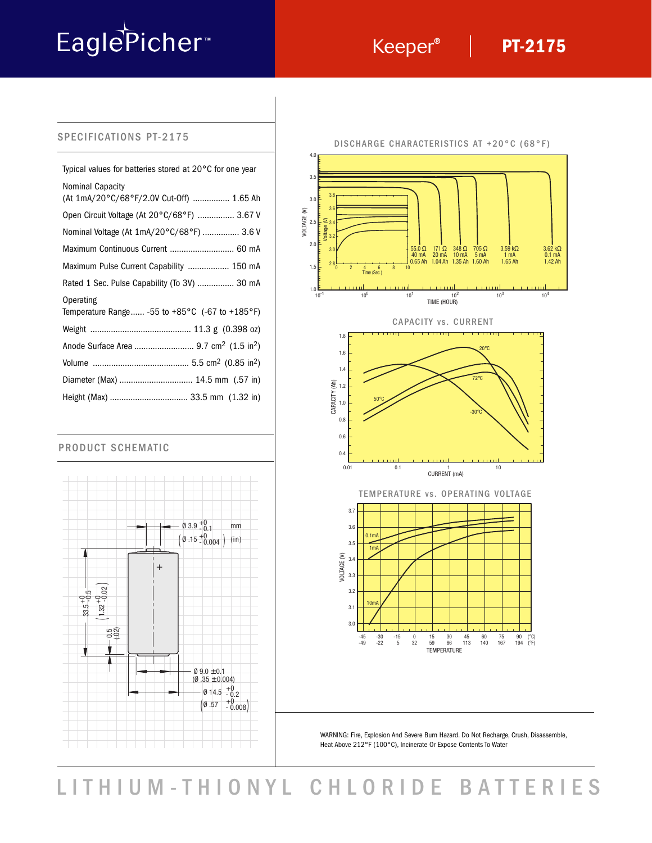# EaglePicher<sup>®</sup>

## **PT-2175**

#### SPECIFICATIONS PT-2175

| Typical values for batteries stored at 20°C for one year                          |
|-----------------------------------------------------------------------------------|
| Nominal Capacity<br>(At 1mA/20°C/68°F/2.0V Cut-Off)  1.65 Ah                      |
| Open Circuit Voltage (At 20°C/68°F)  3.67 V                                       |
| Nominal Voltage (At 1mA/20°C/68°F)  3.6 V                                         |
| Maximum Continuous Current  60 mA                                                 |
| Maximum Pulse Current Capability  150 mA                                          |
| Rated 1 Sec. Pulse Capability (To 3V)  30 mA                                      |
| Operating<br>Temperature Range -55 to +85 $^{\circ}$ C (-67 to +185 $^{\circ}$ F) |
|                                                                                   |
|                                                                                   |
|                                                                                   |
| Diameter (Max)  14.5 mm (.57 in)                                                  |
| Height (Max)  33.5 mm (1.32 in)                                                   |

#### PRODUCT SCHEMATIC





WARNING: Fire, Explosion And Severe Burn Hazard. Do Not Recharge, Crush, Disassemble, Heat Above 212°F (100°C), Incinerate Or Expose Contents To Water

LITHIUM-THIONYL CHLORIDE BATTERIES